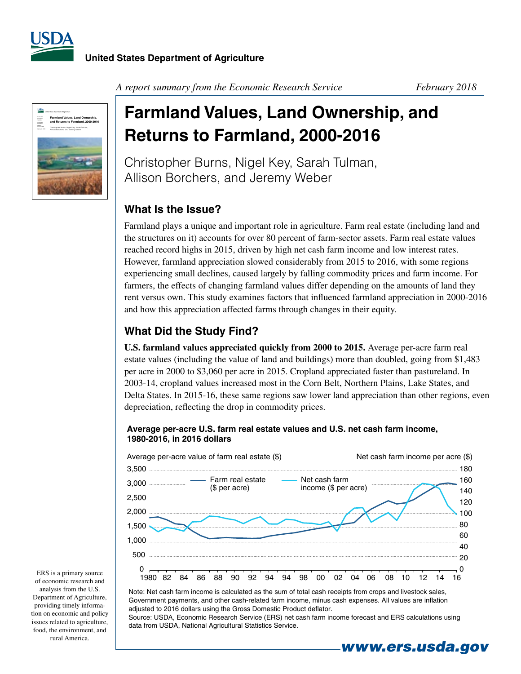



*A report summary from the Economic Research Service February 2018*

# **Farmland Values, Land Ownership, and Returns to Farmland, 2000-2016**

Christopher Burns, Nigel Key, Sarah Tulman, Allison Borchers, and Jeremy Weber

## **What Is the Issue?**

Farmland plays a unique and important role in agriculture. Farm real estate (including land and the structures on it) accounts for over 80 percent of farm-sector assets. Farm real estate values reached record highs in 2015, driven by high net cash farm income and low interest rates. However, farmland appreciation slowed considerably from 2015 to 2016, with some regions experiencing small declines, caused largely by falling commodity prices and farm income. For farmers, the effects of changing farmland values differ depending on the amounts of land they rent versus own. This study examines factors that influenced farmland appreciation in 2000-2016 and how this appreciation affected farms through changes in their equity.

## **What Did the Study Find?**

**U.S. farmland values appreciated quickly from 2000 to 2015.** Average per-acre farm real estate values (including the value of land and buildings) more than doubled, going from \$1,483 per acre in 2000 to \$3,060 per acre in 2015. Cropland appreciated faster than pastureland. In 2003-14, cropland values increased most in the Corn Belt, Northern Plains, Lake States, and Delta States. In 2015-16, these same regions saw lower land appreciation than other regions, even depreciation, reflecting the drop in commodity prices.

#### Average per-acre U.S. farm real estate values and U.S. net cash farm income, 1980-2016, in 2016 dollars



Note: Net cash farm income is calculated as the sum of total cash receipts from crops and livestock sales, Government payments, and other cash-related farm income, minus cash expenses. All values are inflation adjusted to 2016 dollars using the Gross Domestic Product deflator.

Source: USDA, Economic Research Service (ERS) net cash farm income forecast and ERS calculations using data from USDA, National Agricultural Statistics Service.

*www.ers.usda.gov*

ERS is a primary source of economic research and analysis from the U.S. Department of Agriculture, providing timely information on economic and policy issues related to agriculture, food, the environment, and rural America.